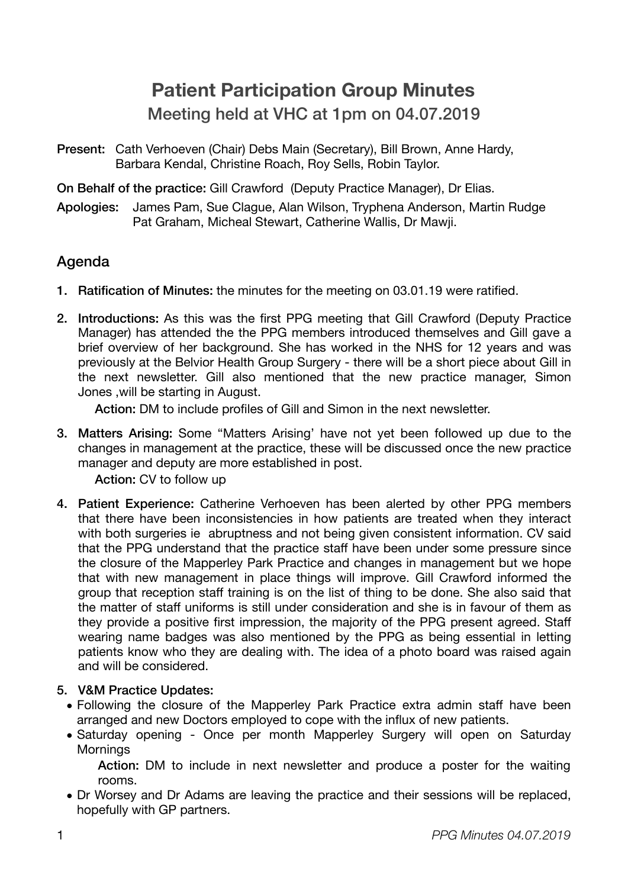# **Patient Participation Group Minutes**  Meeting held at VHC at 1pm on 04.07.2019

Present: Cath Verhoeven (Chair) Debs Main (Secretary), Bill Brown, Anne Hardy, Barbara Kendal, Christine Roach, Roy Sells, Robin Taylor.

On Behalf of the practice: Gill Crawford (Deputy Practice Manager), Dr Elias.

Apologies: James Pam, Sue Clague, Alan Wilson, Tryphena Anderson, Martin Rudge Pat Graham, Micheal Stewart, Catherine Wallis, Dr Mawji.

# Agenda

- 1. Ratification of Minutes: the minutes for the meeting on 03.01.19 were ratified.
- 2. Introductions: As this was the first PPG meeting that Gill Crawford (Deputy Practice Manager) has attended the the PPG members introduced themselves and Gill gave a brief overview of her background. She has worked in the NHS for 12 years and was previously at the Belvior Health Group Surgery - there will be a short piece about Gill in the next newsletter. Gill also mentioned that the new practice manager, Simon Jones ,will be starting in August.

Action: DM to include profiles of Gill and Simon in the next newsletter.

3. Matters Arising: Some "Matters Arising' have not yet been followed up due to the changes in management at the practice, these will be discussed once the new practice manager and deputy are more established in post.

Action: CV to follow up

4. Patient Experience: Catherine Verhoeven has been alerted by other PPG members that there have been inconsistencies in how patients are treated when they interact with both surgeries ie abruptness and not being given consistent information. CV said that the PPG understand that the practice staff have been under some pressure since the closure of the Mapperley Park Practice and changes in management but we hope that with new management in place things will improve. Gill Crawford informed the group that reception staff training is on the list of thing to be done. She also said that the matter of staff uniforms is still under consideration and she is in favour of them as they provide a positive first impression, the majority of the PPG present agreed. Staff wearing name badges was also mentioned by the PPG as being essential in letting patients know who they are dealing with. The idea of a photo board was raised again and will be considered.

## 5. V&M Practice Updates:

- Following the closure of the Mapperley Park Practice extra admin staff have been arranged and new Doctors employed to cope with the influx of new patients.
- Saturday opening Once per month Mapperley Surgery will open on Saturday **Mornings**

Action: DM to include in next newsletter and produce a poster for the waiting rooms.

• Dr Worsey and Dr Adams are leaving the practice and their sessions will be replaced, hopefully with GP partners.